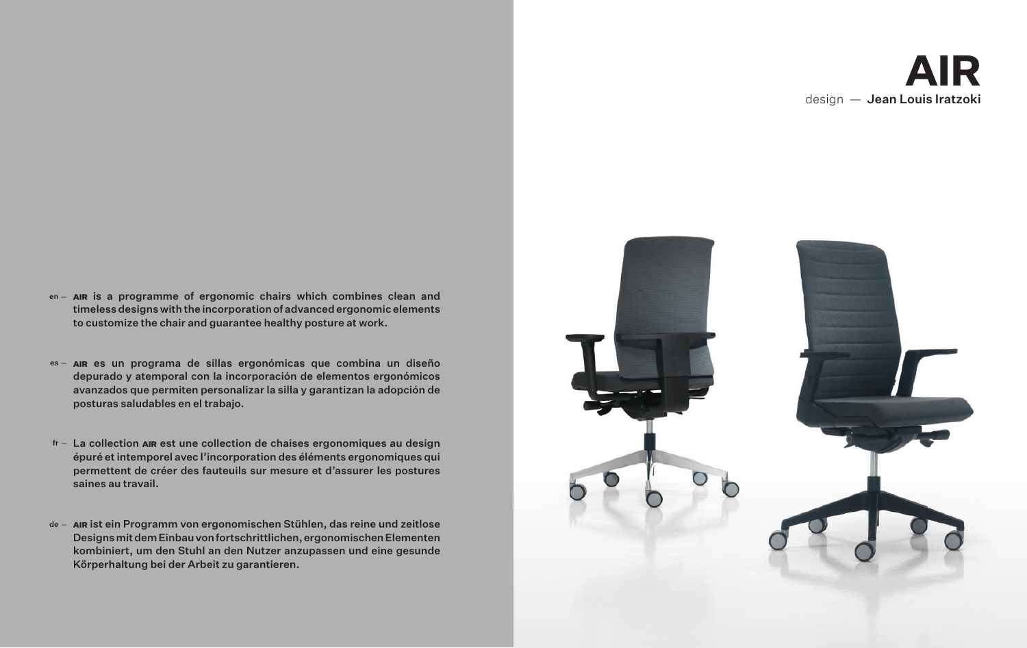# **AIR** design — Jean Louis Iratzoki

- en AIR is a programme of ergonomic chairs which combines clean and timeless designs with the incorporation of advanced ergonomic elements to customize the chair and guarantee healthy posture at work.
- <sup>es –</sup> AIR es un programa de sillas ergonómicas que combina un diseño depurado y atemporal con la incorporación de elementos ergonómicos avanzados que permiten personalizar la silla y garantizan la adopción de posturas saludables en el trabajo.
- fr La collection ain est une collection de chaises ergonomiques au design épuré et intemporel avec l'incorporation des éléments ergonomiques qui permettent de créer des fauteuils sur mesure et d'assurer les postures saines au travail.
- de **AIR** ist ein Programm von ergonomischen Stühlen, das reine und zeitlose Designs mit dem Einbau von fortschrittlichen, ergonomischen Elementen kombiniert, um den Stuhl an den Nutzer anzupassen und eine gesunde Körperhaltung bei der Arbeit zu garantieren.

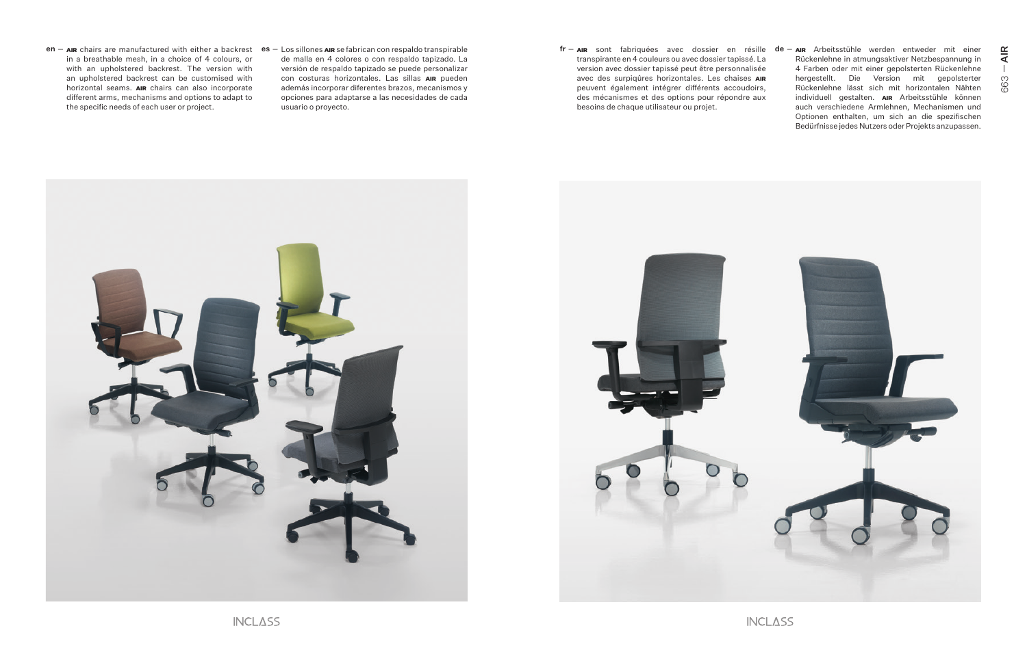- in a breathable mesh, in a choice of 4 colours, or with an upholstered backrest. The version with an upholstered backrest can be customised with horizontal seams. AIR chairs can also incorporate different arms, mechanisms and options to adapt to the specific needs of each user or project.
- de malla en 4 colores o con respaldo tapizado. La versión de respaldo tapizado se puede personalizar con costuras horizontales. Las sillas AIR pueden además incorporar diferentes brazos, mecanismos y opciones para adaptarse a las necesidades de cada usuario o proyecto.
- transpirante en 4 couleurs ou avec dossier tapissé. La version avec dossier tapissé peut être personnalisée avec des surpiqûres horizontales. Les chaises AIR peuvent également intégrer différents accoudoirs, des mécanismes et des options pour répondre aux besoins de chaque utilisateur ou projet.  $\tt{en}-$  an chairs are manufactured with either a backrest  $\tt{ es}-$  Los sillones an se fabrican con respaldo transpirable  $\tt{fr} \tt{er} \tt{er} \tt{er}-$  an sont fabriquées avec dossier en résille  $\tt{de}-$ 
	- AIR sont fabriquées avec dossier en résille AIR Arbeitsstühle werden entweder mit einer Rückenlehne in atmungsaktiver Netzbespannung in 4 Farben oder mit einer gepolsterten Rückenlehne hergestellt. Die Version mit gepolsterter Rückenlehne lässt sich mit horizontalen Nähten individuell gestalten. AIR Arbeitsstühle können auch verschiedene Armlehnen, Mechanismen und Optionen enthalten, um sich an die spezifischen Bedürfnisse jedes Nutzers oder Projekts anzupassen.

AIR

 $\perp$ 

663



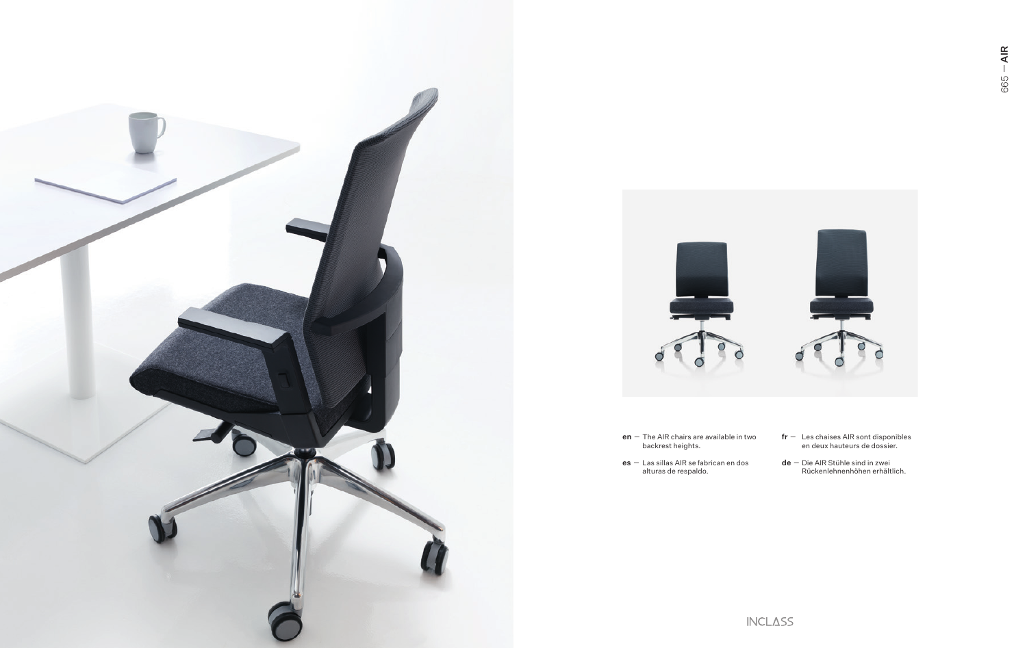



- $en$  The AIR chairs are available in two<br>backrest heights.
- $es -$  Las sillas AIR se fabrican en dos<br>alturas de respaldo.
- $\mathsf{fr}$  Les chaises AIR sont disponibles<br>en deux hauteurs de dossier.
- $de$  Die AIR Stühle sind in zwei<br>Rückenlehnenhöhen erhältlich.